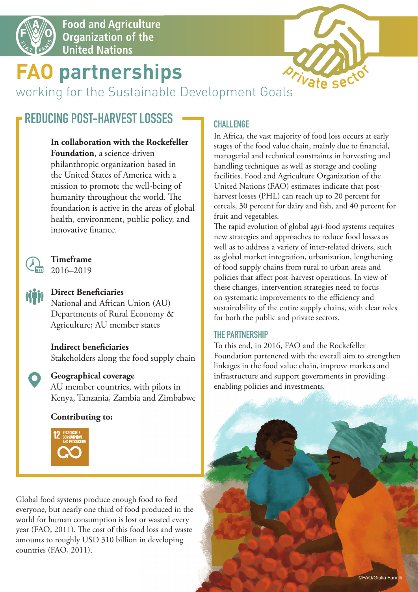

**Food and Agriculture** Organization of the **United Nations** 

# **FAO partnerships**

*Vate* sec

working for the Sustainable Development Goals

# **REDUCING POST-HARVEST LOSSES**

#### **In collaboration with the Rockefeller**

**Foundation**, a science-driven philanthropic organization based in the United States of America with a mission to promote the well-being of humanity throughout the world. The foundation is active in the areas of global health, environment, public policy, and innovative finance.



**Timeframe** 2016–2019

# **Direct Beneficiaries**

National and African Union (AU) Departments of Rural Economy & Agriculture; AU member states

# **Indirect beneficiaries**

Stakeholders along the food supply chain

### **Geographical coverage**

AU member countries, with pilots in Kenya, Tanzania, Zambia and Zimbabwe

### **Contributing to:**



Global food systems produce enough food to feed everyone, but nearly one third of food produced in the world for human consumption is lost or wasted every year (FAO, 2011). The cost of this food loss and waste amounts to roughly USD 310 billion in developing countries (FAO, 2011).

# **CHALLENGE**

In Africa, the vast majority of food loss occurs at early stages of the food value chain, mainly due to financial, managerial and technical constraints in harvesting and handling techniques as well as storage and cooling facilities. Food and Agriculture Organization of the United Nations (FAO) estimates indicate that postharvest losses (PHL) can reach up to 20 percent for cereals, 30 percent for dairy and fish, and 40 percent for fruit and vegetables.

The rapid evolution of global agri-food systems requires new strategies and approaches to reduce food losses as well as to address a variety of inter-related drivers, such as global market integration, urbanization, lengthening of food supply chains from rural to urban areas and policies that affect post-harvest operations. In view of these changes, intervention strategies need to focus on systematic improvements to the efficiency and sustainability of the entire supply chains, with clear roles for both the public and private sectors.

### **THE PARTNERSHIP**

To this end, in 2016, FAO and the Rockefeller Foundation partenered with the overall aim to strengthen linkages in the food value chain, improve markets and infrastructure and support governments in providing enabling policies and investments.